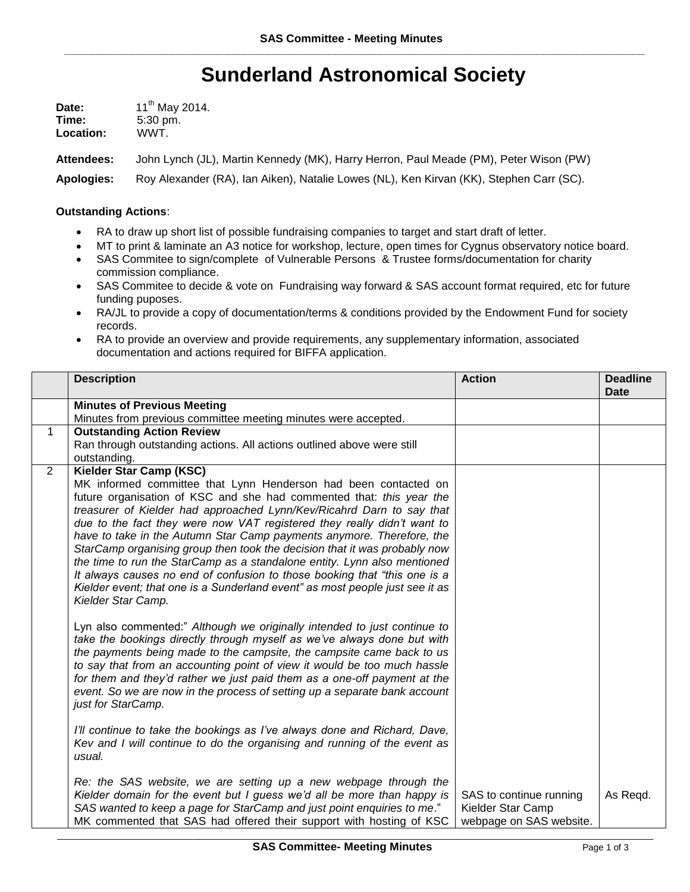## **Sunderland Astronomical Society**

| Date:     | $11^{th}$ May 2014. |
|-----------|---------------------|
| Time:     | $5:30 \text{ pm}$ . |
| Location: | WWT.                |

**Attendees:** John Lynch (JL), Martin Kennedy (MK), Harry Herron, Paul Meade (PM), Peter Wison (PW)

**Apologies:** Roy Alexander (RA), Ian Aiken), Natalie Lowes (NL), Ken Kirvan (KK), Stephen Carr (SC).

## **Outstanding Actions**:

- RA to draw up short list of possible fundraising companies to target and start draft of letter.
- MT to print & laminate an A3 notice for workshop, lecture, open times for Cygnus observatory notice board.
- SAS Commitee to sign/complete of Vulnerable Persons & Trustee forms/documentation for charity commission compliance.
- SAS Commitee to decide & vote on Fundraising way forward & SAS account format required, etc for future funding puposes.
- RA/JL to provide a copy of documentation/terms & conditions provided by the Endowment Fund for society records.
- RA to provide an overview and provide requirements, any supplementary information, associated documentation and actions required for BIFFA application.

|   | <b>Description</b>                                                                                                                                                                                                                                                                                                                                                                                                                                                                                                                                                                                                                                                                                               | <b>Action</b>                                                           | <b>Deadline</b><br><b>Date</b> |
|---|------------------------------------------------------------------------------------------------------------------------------------------------------------------------------------------------------------------------------------------------------------------------------------------------------------------------------------------------------------------------------------------------------------------------------------------------------------------------------------------------------------------------------------------------------------------------------------------------------------------------------------------------------------------------------------------------------------------|-------------------------------------------------------------------------|--------------------------------|
|   | <b>Minutes of Previous Meeting</b>                                                                                                                                                                                                                                                                                                                                                                                                                                                                                                                                                                                                                                                                               |                                                                         |                                |
|   | Minutes from previous committee meeting minutes were accepted.                                                                                                                                                                                                                                                                                                                                                                                                                                                                                                                                                                                                                                                   |                                                                         |                                |
| 1 | <b>Outstanding Action Review</b>                                                                                                                                                                                                                                                                                                                                                                                                                                                                                                                                                                                                                                                                                 |                                                                         |                                |
|   | Ran through outstanding actions. All actions outlined above were still                                                                                                                                                                                                                                                                                                                                                                                                                                                                                                                                                                                                                                           |                                                                         |                                |
|   | outstanding.                                                                                                                                                                                                                                                                                                                                                                                                                                                                                                                                                                                                                                                                                                     |                                                                         |                                |
| 2 | Kielder Star Camp (KSC)                                                                                                                                                                                                                                                                                                                                                                                                                                                                                                                                                                                                                                                                                          |                                                                         |                                |
|   | MK informed committee that Lynn Henderson had been contacted on<br>future organisation of KSC and she had commented that: this year the<br>treasurer of Kielder had approached Lynn/Kev/Ricahrd Darn to say that<br>due to the fact they were now VAT registered they really didn't want to<br>have to take in the Autumn Star Camp payments anymore. Therefore, the<br>StarCamp organising group then took the decision that it was probably now<br>the time to run the StarCamp as a standalone entity. Lynn also mentioned<br>It always causes no end of confusion to those booking that "this one is a<br>Kielder event; that one is a Sunderland event" as most people just see it as<br>Kielder Star Camp. |                                                                         |                                |
|   | Lyn also commented:" Although we originally intended to just continue to<br>take the bookings directly through myself as we've always done but with<br>the payments being made to the campsite, the campsite came back to us<br>to say that from an accounting point of view it would be too much hassle<br>for them and they'd rather we just paid them as a one-off payment at the<br>event. So we are now in the process of setting up a separate bank account<br>just for StarCamp.                                                                                                                                                                                                                          |                                                                         |                                |
|   | I'll continue to take the bookings as I've always done and Richard, Dave,<br>Kev and I will continue to do the organising and running of the event as<br>usual.                                                                                                                                                                                                                                                                                                                                                                                                                                                                                                                                                  |                                                                         |                                |
|   | Re: the SAS website, we are setting up a new webpage through the<br>Kielder domain for the event but I guess we'd all be more than happy is<br>SAS wanted to keep a page for StarCamp and just point enquiries to me."<br>MK commented that SAS had offered their support with hosting of KSC                                                                                                                                                                                                                                                                                                                                                                                                                    | SAS to continue running<br>Kielder Star Camp<br>webpage on SAS website. | As Regd.                       |

\_\_\_\_\_\_\_\_\_\_\_\_\_\_\_\_\_\_\_\_\_\_\_\_\_\_\_\_\_\_\_\_\_\_\_\_\_\_\_\_\_\_\_\_\_\_\_\_\_\_\_\_\_\_\_\_\_\_\_\_\_\_\_\_\_\_\_\_\_\_\_\_\_\_\_\_\_\_\_\_\_\_\_\_\_\_\_\_\_\_\_\_\_\_\_\_\_\_\_\_\_\_\_\_\_\_\_\_\_\_\_\_\_\_\_\_\_\_\_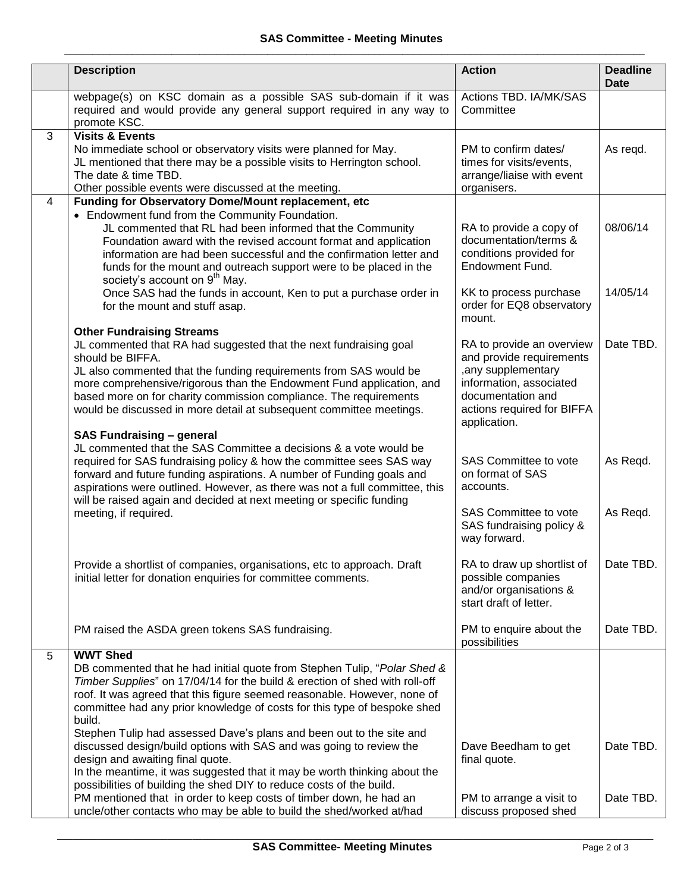|   | <b>Description</b>                                                                                                                                                                                                                                                                                                                                                                                                                                     | <b>Action</b>                                                                                                                                                              | <b>Deadline</b><br><b>Date</b> |
|---|--------------------------------------------------------------------------------------------------------------------------------------------------------------------------------------------------------------------------------------------------------------------------------------------------------------------------------------------------------------------------------------------------------------------------------------------------------|----------------------------------------------------------------------------------------------------------------------------------------------------------------------------|--------------------------------|
|   | webpage(s) on KSC domain as a possible SAS sub-domain if it was<br>required and would provide any general support required in any way to<br>promote KSC.                                                                                                                                                                                                                                                                                               | Actions TBD. IA/MK/SAS<br>Committee                                                                                                                                        |                                |
| 3 | <b>Visits &amp; Events</b><br>No immediate school or observatory visits were planned for May.<br>JL mentioned that there may be a possible visits to Herrington school.<br>The date & time TBD.<br>Other possible events were discussed at the meeting.                                                                                                                                                                                                | PM to confirm dates/<br>times for visits/events,<br>arrange/liaise with event<br>organisers.                                                                               | As regd.                       |
| 4 | Funding for Observatory Dome/Mount replacement, etc<br>• Endowment fund from the Community Foundation.<br>JL commented that RL had been informed that the Community<br>Foundation award with the revised account format and application<br>information are had been successful and the confirmation letter and<br>funds for the mount and outreach support were to be placed in the<br>society's account on 9 <sup>th</sup> May.                       | RA to provide a copy of<br>documentation/terms &<br>conditions provided for<br>Endowment Fund.                                                                             | 08/06/14                       |
|   | Once SAS had the funds in account, Ken to put a purchase order in<br>for the mount and stuff asap.                                                                                                                                                                                                                                                                                                                                                     | KK to process purchase<br>order for EQ8 observatory<br>mount.                                                                                                              | 14/05/14                       |
|   | <b>Other Fundraising Streams</b><br>JL commented that RA had suggested that the next fundraising goal<br>should be BIFFA.<br>JL also commented that the funding requirements from SAS would be<br>more comprehensive/rigorous than the Endowment Fund application, and<br>based more on for charity commission compliance. The requirements<br>would be discussed in more detail at subsequent committee meetings.<br><b>SAS Fundraising - general</b> | RA to provide an overview<br>and provide requirements<br>, any supplementary<br>information, associated<br>documentation and<br>actions required for BIFFA<br>application. | Date TBD.                      |
|   | JL commented that the SAS Committee a decisions & a vote would be<br>required for SAS fundraising policy & how the committee sees SAS way<br>forward and future funding aspirations. A number of Funding goals and<br>aspirations were outlined. However, as there was not a full committee, this<br>will be raised again and decided at next meeting or specific funding<br>meeting, if required.                                                     | SAS Committee to vote<br>on format of SAS<br>accounts.<br><b>SAS Committee to vote</b><br>SAS fundraising policy &                                                         | As Regd.<br>As Regd.           |
|   | Provide a shortlist of companies, organisations, etc to approach. Draft<br>initial letter for donation enquiries for committee comments.                                                                                                                                                                                                                                                                                                               | way forward.<br>RA to draw up shortlist of<br>possible companies<br>and/or organisations &<br>start draft of letter.                                                       | Date TBD.                      |
|   | PM raised the ASDA green tokens SAS fundraising.                                                                                                                                                                                                                                                                                                                                                                                                       | PM to enquire about the<br>possibilities                                                                                                                                   | Date TBD.                      |
| 5 | <b>WWT Shed</b><br>DB commented that he had initial quote from Stephen Tulip, "Polar Shed &<br>Timber Supplies" on 17/04/14 for the build & erection of shed with roll-off<br>roof. It was agreed that this figure seemed reasonable. However, none of<br>committee had any prior knowledge of costs for this type of bespoke shed<br>build.                                                                                                           |                                                                                                                                                                            |                                |
|   | Stephen Tulip had assessed Dave's plans and been out to the site and<br>discussed design/build options with SAS and was going to review the<br>design and awaiting final quote.<br>In the meantime, it was suggested that it may be worth thinking about the<br>possibilities of building the shed DIY to reduce costs of the build.                                                                                                                   | Dave Beedham to get<br>final quote.                                                                                                                                        | Date TBD.                      |
|   | PM mentioned that in order to keep costs of timber down, he had an<br>uncle/other contacts who may be able to build the shed/worked at/had                                                                                                                                                                                                                                                                                                             | PM to arrange a visit to<br>discuss proposed shed                                                                                                                          | Date TBD.                      |

\_\_\_\_\_\_\_\_\_\_\_\_\_\_\_\_\_\_\_\_\_\_\_\_\_\_\_\_\_\_\_\_\_\_\_\_\_\_\_\_\_\_\_\_\_\_\_\_\_\_\_\_\_\_\_\_\_\_\_\_\_\_\_\_\_\_\_\_\_\_\_\_\_\_\_\_\_\_\_\_\_\_\_\_\_\_\_\_\_\_\_\_\_\_\_\_\_\_\_\_\_\_\_\_\_\_\_\_\_\_\_\_\_\_\_\_\_\_\_